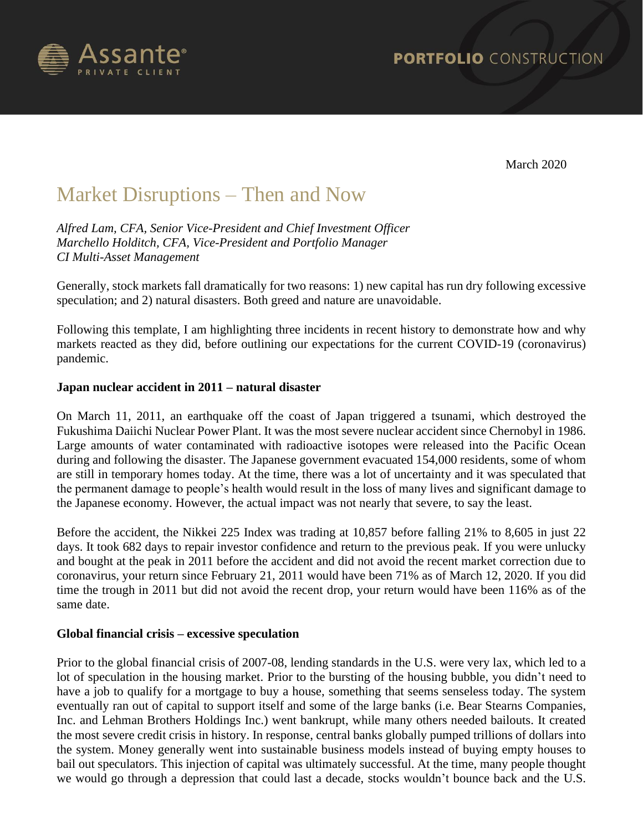

March 2020

# Market Disruptions – Then and Now

*Alfred Lam, CFA, Senior Vice-President and Chief Investment Officer Marchello Holditch, CFA, Vice-President and Portfolio Manager CI Multi-Asset Management*

Generally, stock markets fall dramatically for two reasons: 1) new capital has run dry following excessive speculation; and 2) natural disasters. Both greed and nature are unavoidable.

Following this template, I am highlighting three incidents in recent history to demonstrate how and why markets reacted as they did, before outlining our expectations for the current COVID-19 (coronavirus) pandemic.

## **Japan nuclear accident in 2011 – natural disaster**

On March 11, 2011, an earthquake off the coast of Japan triggered a tsunami, which destroyed the Fukushima Daiichi Nuclear Power Plant. It was the most severe nuclear accident since Chernobyl in 1986. Large amounts of water contaminated with radioactive isotopes were released into the Pacific Ocean during and following the disaster. The Japanese government evacuated 154,000 residents, some of whom are still in temporary homes today. At the time, there was a lot of uncertainty and it was speculated that the permanent damage to people's health would result in the loss of many lives and significant damage to the Japanese economy. However, the actual impact was not nearly that severe, to say the least.

Before the accident, the Nikkei 225 Index was trading at 10,857 before falling 21% to 8,605 in just 22 days. It took 682 days to repair investor confidence and return to the previous peak. If you were unlucky and bought at the peak in 2011 before the accident and did not avoid the recent market correction due to coronavirus, your return since February 21, 2011 would have been 71% as of March 12, 2020. If you did time the trough in 2011 but did not avoid the recent drop, your return would have been 116% as of the same date.

#### **Global financial crisis – excessive speculation**

Prior to the global financial crisis of 2007-08, lending standards in the U.S. were very lax, which led to a lot of speculation in the housing market. Prior to the bursting of the housing bubble, you didn't need to have a job to qualify for a mortgage to buy a house, something that seems senseless today. The system eventually ran out of capital to support itself and some of the large banks (i.e. Bear Stearns Companies, Inc. and Lehman Brothers Holdings Inc.) went bankrupt, while many others needed bailouts. It created the most severe credit crisis in history. In response, central banks globally pumped trillions of dollars into the system. Money generally went into sustainable business models instead of buying empty houses to bail out speculators. This injection of capital was ultimately successful. At the time, many people thought we would go through a depression that could last a decade, stocks wouldn't bounce back and the U.S.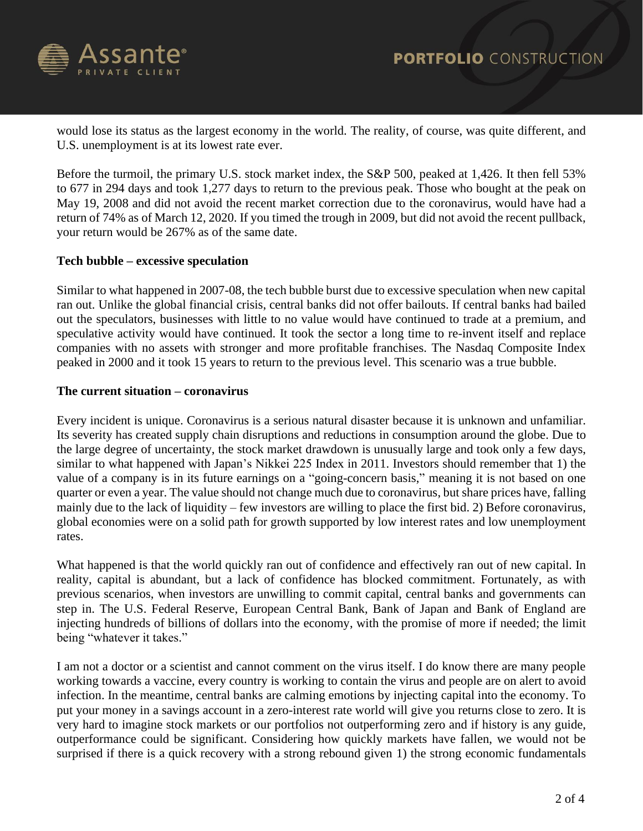

would lose its status as the largest economy in the world. The reality, of course, was quite different, and U.S. unemployment is at its lowest rate ever.

Before the turmoil, the primary U.S. stock market index, the S&P 500, peaked at 1,426. It then fell 53% to 677 in 294 days and took 1,277 days to return to the previous peak. Those who bought at the peak on May 19, 2008 and did not avoid the recent market correction due to the coronavirus, would have had a return of 74% as of March 12, 2020. If you timed the trough in 2009, but did not avoid the recent pullback, your return would be 267% as of the same date.

# **Tech bubble – excessive speculation**

Similar to what happened in 2007-08, the tech bubble burst due to excessive speculation when new capital ran out. Unlike the global financial crisis, central banks did not offer bailouts. If central banks had bailed out the speculators, businesses with little to no value would have continued to trade at a premium, and speculative activity would have continued. It took the sector a long time to re-invent itself and replace companies with no assets with stronger and more profitable franchises. The Nasdaq Composite Index peaked in 2000 and it took 15 years to return to the previous level. This scenario was a true bubble.

## **The current situation – coronavirus**

Every incident is unique. Coronavirus is a serious natural disaster because it is unknown and unfamiliar. Its severity has created supply chain disruptions and reductions in consumption around the globe. Due to the large degree of uncertainty, the stock market drawdown is unusually large and took only a few days, similar to what happened with Japan's Nikkei 225 Index in 2011. Investors should remember that 1) the value of a company is in its future earnings on a "going-concern basis," meaning it is not based on one quarter or even a year. The value should not change much due to coronavirus, but share prices have, falling mainly due to the lack of liquidity – few investors are willing to place the first bid. 2) Before coronavirus, global economies were on a solid path for growth supported by low interest rates and low unemployment rates.

What happened is that the world quickly ran out of confidence and effectively ran out of new capital. In reality, capital is abundant, but a lack of confidence has blocked commitment. Fortunately, as with previous scenarios, when investors are unwilling to commit capital, central banks and governments can step in. The U.S. Federal Reserve, European Central Bank, Bank of Japan and Bank of England are injecting hundreds of billions of dollars into the economy, with the promise of more if needed; the limit being "whatever it takes."

I am not a doctor or a scientist and cannot comment on the virus itself. I do know there are many people working towards a vaccine, every country is working to contain the virus and people are on alert to avoid infection. In the meantime, central banks are calming emotions by injecting capital into the economy. To put your money in a savings account in a zero-interest rate world will give you returns close to zero. It is very hard to imagine stock markets or our portfolios not outperforming zero and if history is any guide, outperformance could be significant. Considering how quickly markets have fallen, we would not be surprised if there is a quick recovery with a strong rebound given 1) the strong economic fundamentals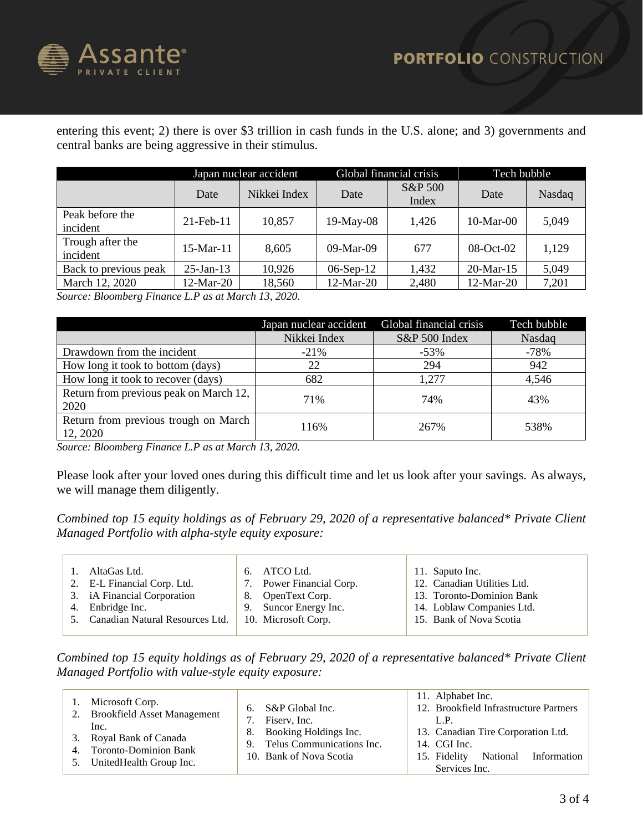

entering this event; 2) there is over \$3 trillion in cash funds in the U.S. alone; and 3) governments and central banks are being aggressive in their stimulus.

|                              | Japan nuclear accident |              | Global financial crisis |                  | Tech bubble     |        |
|------------------------------|------------------------|--------------|-------------------------|------------------|-----------------|--------|
|                              | Date                   | Nikkei Index | Date                    | S&P 500<br>Index | Date            | Nasdaq |
| Peak before the<br>incident  | $21$ -Feb- $11$        | 10,857       | $19-May-08$             | 1,426            | $10-Mar-00$     | 5,049  |
| Trough after the<br>incident | 15-Mar-11              | 8,605        | $09-Mar-09$             | 677              | $08$ -Oct- $02$ | 1,129  |
| Back to previous peak        | $25$ -Jan-13           | 10,926       | $06-Sep-12$             | 1,432            | $20$ -Mar-15    | 5,049  |
| March 12, 2020               | 12-Mar-20              | 18,560       | $12$ -Mar-20            | 2,480            | $12$ -Mar-20    | 7,201  |

*Source: Bloomberg Finance L.P as at March 13, 2020.*

|                                                  | Japan nuclear accident | Global financial crisis | Tech bubble |
|--------------------------------------------------|------------------------|-------------------------|-------------|
|                                                  | Nikkei Index           | S&P 500 Index           | Nasdaq      |
| Drawdown from the incident                       | $-21\%$                | $-53\%$                 | -78%        |
| How long it took to bottom (days)                | 22                     | 294                     | 942         |
| How long it took to recover (days)               | 682                    | 1,277                   | 4,546       |
| Return from previous peak on March 12,<br>2020   | 71%                    | 74%                     | 43%         |
| Return from previous trough on March<br>12, 2020 | 116%                   | 267%                    | 538%        |

*Source: Bloomberg Finance L.P as at March 13, 2020.*

Please look after your loved ones during this difficult time and let us look after your savings. As always, we will manage them diligently.

*Combined top 15 equity holdings as of February 29, 2020 of a representative balanced\* Private Client Managed Portfolio with alpha-style equity exposure:*

| AltaGas Ltd.                       | 6. ATCO Ltd.             | 11. Saputo Inc.             |
|------------------------------------|--------------------------|-----------------------------|
| 2. E-L Financial Corp. Ltd.        | 7. Power Financial Corp. | 12. Canadian Utilities Ltd. |
| 3. iA Financial Corporation        | 8. OpenText Corp.        | 13. Toronto-Dominion Bank   |
| 4. Enbridge Inc.                   | 9. Suncor Energy Inc.    | 14. Loblaw Companies Ltd.   |
| 5. Canadian Natural Resources Ltd. | 10. Microsoft Corp.      | 15. Bank of Nova Scotia     |
|                                    |                          |                             |

*Combined top 15 equity holdings as of February 29, 2020 of a representative balanced\* Private Client Managed Portfolio with value-style equity exposure:*

|    | Microsoft Corp.                                                                                                                      | S&P Global Inc.<br>6.                                                                                  | 11. Alphabet Inc.<br>12. Brookfield Infrastructure Partners                                                        |
|----|--------------------------------------------------------------------------------------------------------------------------------------|--------------------------------------------------------------------------------------------------------|--------------------------------------------------------------------------------------------------------------------|
| 2. | <b>Brookfield Asset Management</b><br>Inc.<br>3. Royal Bank of Canada<br><b>Toronto-Dominion Bank</b><br>5. United Health Group Inc. | Fisery, Inc.<br>Booking Holdings Inc.<br>8.<br>9. Telus Communications Inc.<br>10. Bank of Nova Scotia | L.P<br>13. Canadian Tire Corporation Ltd.<br>14. CGI Inc.<br>National Information<br>15. Fidelity<br>Services Inc. |